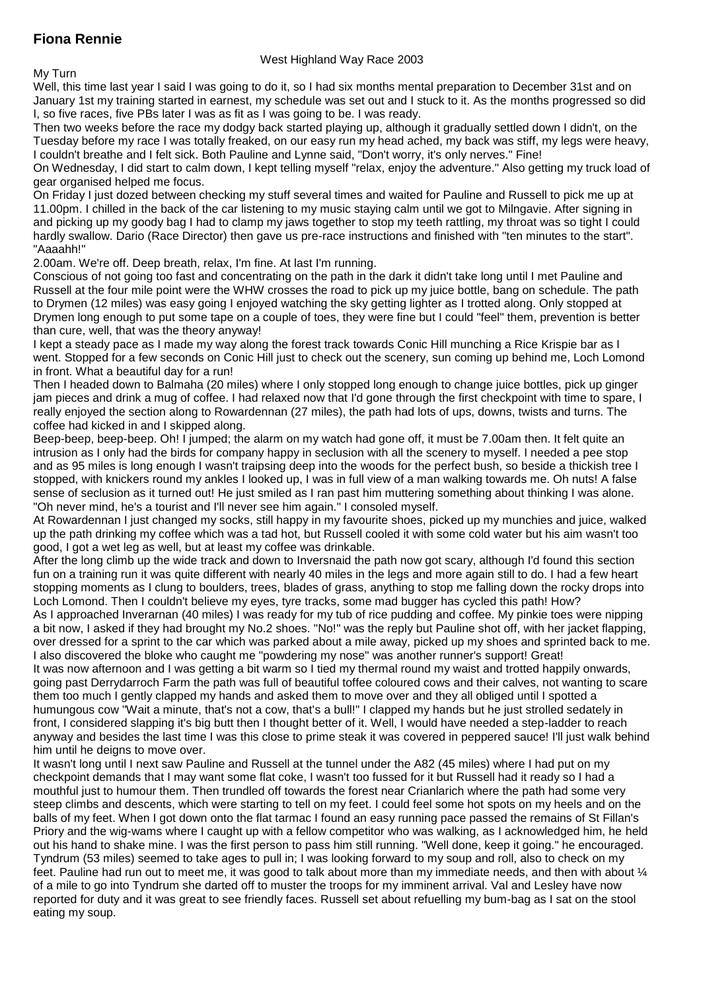## **Fiona Rennie**

## West Highland Way Race 2003

My Turn

Well, this time last year I said I was going to do it, so I had six months mental preparation to December 31st and on January 1st my training started in earnest, my schedule was set out and I stuck to it. As the months progressed so did I, so five races, five PBs later I was as fit as I was going to be. I was ready.

Then two weeks before the race my dodgy back started playing up, although it gradually settled down I didn't, on the Tuesday before my race I was totally freaked, on our easy run my head ached, my back was stiff, my legs were heavy, I couldn't breathe and I felt sick. Both Pauline and Lynne said, "Don't worry, it's only nerves." Fine!

On Wednesday, I did start to calm down, I kept telling myself "relax, enjoy the adventure." Also getting my truck load of gear organised helped me focus.

On Friday I just dozed between checking my stuff several times and waited for Pauline and Russell to pick me up at 11.00pm. I chilled in the back of the car listening to my music staying calm until we got to Milngavie. After signing in and picking up my goody bag I had to clamp my jaws together to stop my teeth rattling, my throat was so tight I could hardly swallow. Dario (Race Director) then gave us pre-race instructions and finished with "ten minutes to the start". "Aaaahh!"

2.00am. We're off. Deep breath, relax, I'm fine. At last I'm running.

Conscious of not going too fast and concentrating on the path in the dark it didn't take long until I met Pauline and Russell at the four mile point were the WHW crosses the road to pick up my juice bottle, bang on schedule. The path to Drymen (12 miles) was easy going I enjoyed watching the sky getting lighter as I trotted along. Only stopped at Drymen long enough to put some tape on a couple of toes, they were fine but I could "feel" them, prevention is better than cure, well, that was the theory anyway!

I kept a steady pace as I made my way along the forest track towards Conic Hill munching a Rice Krispie bar as I went. Stopped for a few seconds on Conic Hill just to check out the scenery, sun coming up behind me, Loch Lomond in front. What a beautiful day for a run!

Then I headed down to Balmaha (20 miles) where I only stopped long enough to change juice bottles, pick up ginger jam pieces and drink a mug of coffee. I had relaxed now that I'd gone through the first checkpoint with time to spare, I really enjoyed the section along to Rowardennan (27 miles), the path had lots of ups, downs, twists and turns. The coffee had kicked in and I skipped along.

Beep-beep, beep-beep. Oh! I jumped; the alarm on my watch had gone off, it must be 7.00am then. It felt quite an intrusion as I only had the birds for company happy in seclusion with all the scenery to myself. I needed a pee stop and as 95 miles is long enough I wasn't traipsing deep into the woods for the perfect bush, so beside a thickish tree I stopped, with knickers round my ankles I looked up, I was in full view of a man walking towards me. Oh nuts! A false sense of seclusion as it turned out! He just smiled as I ran past him muttering something about thinking I was alone. "Oh never mind, he's a tourist and I'll never see him again." I consoled myself.

At Rowardennan I just changed my socks, still happy in my favourite shoes, picked up my munchies and juice, walked up the path drinking my coffee which was a tad hot, but Russell cooled it with some cold water but his aim wasn't too good, I got a wet leg as well, but at least my coffee was drinkable.

After the long climb up the wide track and down to Inversnaid the path now got scary, although I'd found this section fun on a training run it was quite different with nearly 40 miles in the legs and more again still to do. I had a few heart stopping moments as I clung to boulders, trees, blades of grass, anything to stop me falling down the rocky drops into Loch Lomond. Then I couldn't believe my eyes, tyre tracks, some mad bugger has cycled this path! How?

As I approached Inverarnan (40 miles) I was ready for my tub of rice pudding and coffee. My pinkie toes were nipping a bit now, I asked if they had brought my No.2 shoes. "No!" was the reply but Pauline shot off, with her jacket flapping, over dressed for a sprint to the car which was parked about a mile away, picked up my shoes and sprinted back to me. I also discovered the bloke who caught me "powdering my nose" was another runner's support! Great!

It was now afternoon and I was getting a bit warm so I tied my thermal round my waist and trotted happily onwards, going past Derrydarroch Farm the path was full of beautiful toffee coloured cows and their calves, not wanting to scare them too much I gently clapped my hands and asked them to move over and they all obliged until I spotted a humungous cow "Wait a minute, that's not a cow, that's a bull!" I clapped my hands but he just strolled sedately in front, I considered slapping it's big butt then I thought better of it. Well, I would have needed a step-ladder to reach anyway and besides the last time I was this close to prime steak it was covered in peppered sauce! I'll just walk behind him until he deigns to move over.

It wasn't long until I next saw Pauline and Russell at the tunnel under the A82 (45 miles) where I had put on my checkpoint demands that I may want some flat coke, I wasn't too fussed for it but Russell had it ready so I had a mouthful just to humour them. Then trundled off towards the forest near Crianlarich where the path had some very steep climbs and descents, which were starting to tell on my feet. I could feel some hot spots on my heels and on the balls of my feet. When I got down onto the flat tarmac I found an easy running pace passed the remains of St Fillan's Priory and the wig-wams where I caught up with a fellow competitor who was walking, as I acknowledged him, he held out his hand to shake mine. I was the first person to pass him still running. "Well done, keep it going." he encouraged. Tyndrum (53 miles) seemed to take ages to pull in; I was looking forward to my soup and roll, also to check on my feet. Pauline had run out to meet me, it was good to talk about more than my immediate needs, and then with about  $\mathcal{U}$ of a mile to go into Tyndrum she darted off to muster the troops for my imminent arrival. Val and Lesley have now reported for duty and it was great to see friendly faces. Russell set about refuelling my bum-bag as I sat on the stool eating my soup.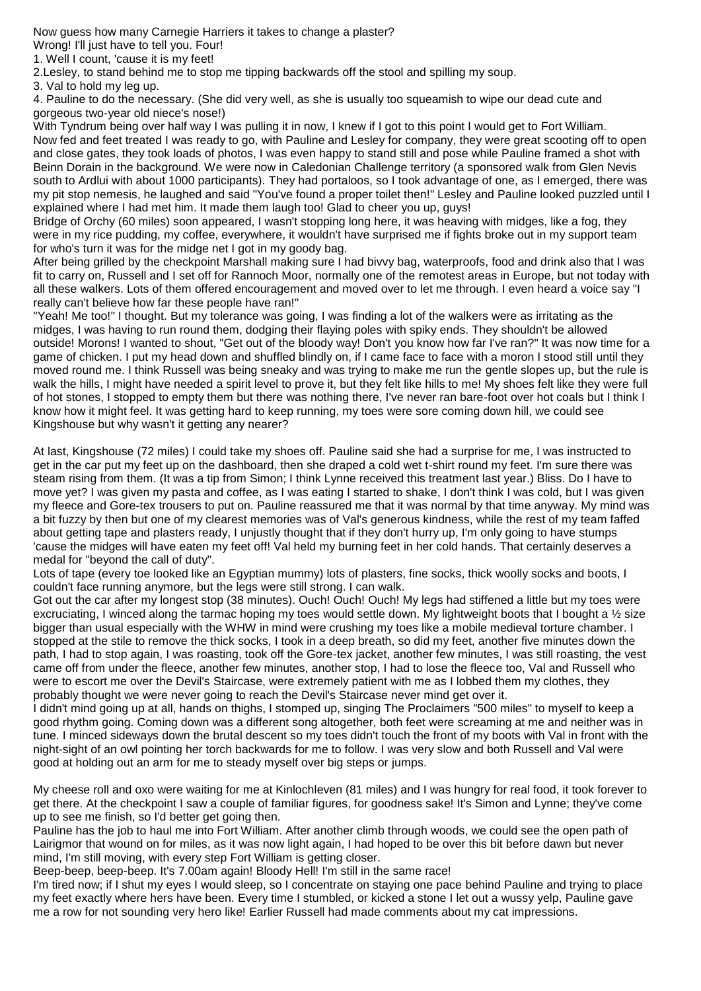Now guess how many Carnegie Harriers it takes to change a plaster?

Wrong! I'll just have to tell you. Four!

1. Well I count, 'cause it is my feet!

2.Lesley, to stand behind me to stop me tipping backwards off the stool and spilling my soup.

3. Val to hold my leg up.

4. Pauline to do the necessary. (She did very well, as she is usually too squeamish to wipe our dead cute and gorgeous two-year old niece's nose!)

With Tyndrum being over half way I was pulling it in now, I knew if I got to this point I would get to Fort William. Now fed and feet treated I was ready to go, with Pauline and Lesley for company, they were great scooting off to open and close gates, they took loads of photos, I was even happy to stand still and pose while Pauline framed a shot with Beinn Dorain in the background. We were now in Caledonian Challenge territory (a sponsored walk from Glen Nevis south to Ardlui with about 1000 participants). They had portaloos, so I took advantage of one, as I emerged, there was my pit stop nemesis, he laughed and said "You've found a proper toilet then!" Lesley and Pauline looked puzzled until I explained where I had met him. It made them laugh too! Glad to cheer you up, guys!

Bridge of Orchy (60 miles) soon appeared, I wasn't stopping long here, it was heaving with midges, like a fog, they were in my rice pudding, my coffee, everywhere, it wouldn't have surprised me if fights broke out in my support team for who's turn it was for the midge net I got in my goody bag.

After being grilled by the checkpoint Marshall making sure I had bivvy bag, waterproofs, food and drink also that I was fit to carry on, Russell and I set off for Rannoch Moor, normally one of the remotest areas in Europe, but not today with all these walkers. Lots of them offered encouragement and moved over to let me through. I even heard a voice say "I really can't believe how far these people have ran!"

"Yeah! Me too!" I thought. But my tolerance was going, I was finding a lot of the walkers were as irritating as the midges, I was having to run round them, dodging their flaying poles with spiky ends. They shouldn't be allowed outside! Morons! I wanted to shout, "Get out of the bloody way! Don't you know how far I've ran?" It was now time for a game of chicken. I put my head down and shuffled blindly on, if I came face to face with a moron I stood still until they moved round me. I think Russell was being sneaky and was trying to make me run the gentle slopes up, but the rule is walk the hills, I might have needed a spirit level to prove it, but they felt like hills to me! My shoes felt like they were full of hot stones, I stopped to empty them but there was nothing there, I've never ran bare-foot over hot coals but I think I know how it might feel. It was getting hard to keep running, my toes were sore coming down hill, we could see Kingshouse but why wasn't it getting any nearer?

At last, Kingshouse (72 miles) I could take my shoes off. Pauline said she had a surprise for me, I was instructed to get in the car put my feet up on the dashboard, then she draped a cold wet t-shirt round my feet. I'm sure there was steam rising from them. (It was a tip from Simon; I think Lynne received this treatment last year.) Bliss. Do I have to move yet? I was given my pasta and coffee, as I was eating I started to shake, I don't think I was cold, but I was given my fleece and Gore-tex trousers to put on. Pauline reassured me that it was normal by that time anyway. My mind was a bit fuzzy by then but one of my clearest memories was of Val's generous kindness, while the rest of my team faffed about getting tape and plasters ready, I unjustly thought that if they don't hurry up, I'm only going to have stumps 'cause the midges will have eaten my feet off! Val held my burning feet in her cold hands. That certainly deserves a medal for "beyond the call of duty".

Lots of tape (every toe looked like an Egyptian mummy) lots of plasters, fine socks, thick woolly socks and boots, I couldn't face running anymore, but the legs were still strong. I can walk.

Got out the car after my longest stop (38 minutes). Ouch! Ouch! Ouch! My legs had stiffened a little but my toes were excruciating, I winced along the tarmac hoping my toes would settle down. My lightweight boots that I bought a  $\frac{1}{2}$  size bigger than usual especially with the WHW in mind were crushing my toes like a mobile medieval torture chamber. I stopped at the stile to remove the thick socks, I took in a deep breath, so did my feet, another five minutes down the path, I had to stop again, I was roasting, took off the Gore-tex jacket, another few minutes, I was still roasting, the vest came off from under the fleece, another few minutes, another stop, I had to lose the fleece too, Val and Russell who were to escort me over the Devil's Staircase, were extremely patient with me as I lobbed them my clothes, they probably thought we were never going to reach the Devil's Staircase never mind get over it.

I didn't mind going up at all, hands on thighs, I stomped up, singing The Proclaimers "500 miles" to myself to keep a good rhythm going. Coming down was a different song altogether, both feet were screaming at me and neither was in tune. I minced sideways down the brutal descent so my toes didn't touch the front of my boots with Val in front with the night-sight of an owl pointing her torch backwards for me to follow. I was very slow and both Russell and Val were good at holding out an arm for me to steady myself over big steps or jumps.

My cheese roll and oxo were waiting for me at Kinlochleven (81 miles) and I was hungry for real food, it took forever to get there. At the checkpoint I saw a couple of familiar figures, for goodness sake! It's Simon and Lynne; they've come up to see me finish, so I'd better get going then.

Pauline has the job to haul me into Fort William. After another climb through woods, we could see the open path of Lairigmor that wound on for miles, as it was now light again, I had hoped to be over this bit before dawn but never mind, I'm still moving, with every step Fort William is getting closer.

Beep-beep, beep-beep. It's 7.00am again! Bloody Hell! I'm still in the same race!

I'm tired now; if I shut my eyes I would sleep, so I concentrate on staying one pace behind Pauline and trying to place my feet exactly where hers have been. Every time I stumbled, or kicked a stone I let out a wussy yelp, Pauline gave me a row for not sounding very hero like! Earlier Russell had made comments about my cat impressions.